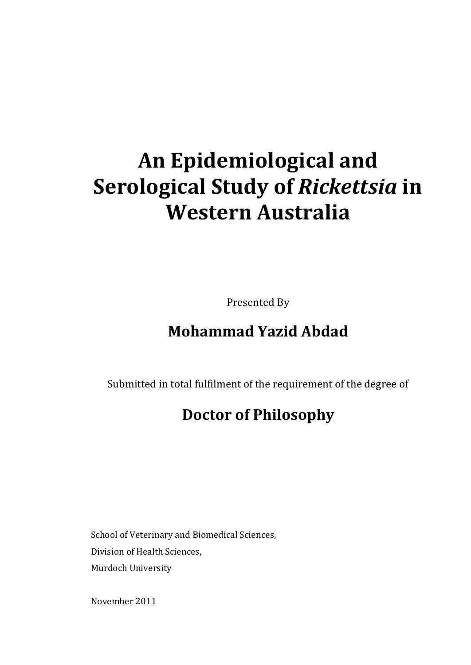# **An Epidemiological and Serological Study of** *Rickettsia* **in Western Australia**

Presented By

## **Mohammad Yazid Abdad**

Submitted in total fulfilment of the requirement of the degree of

## **Doctor of Philosophy**

School of Veterinary and Biomedical Sciences, Division of Health Sciences, Murdoch University

November 2011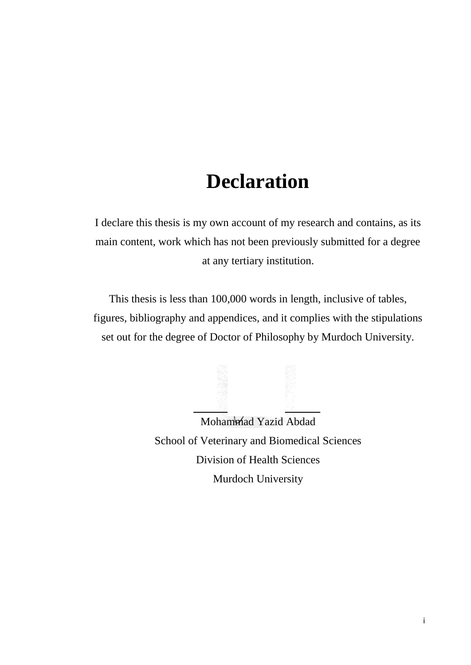## **Declaration**

<span id="page-1-0"></span>I declare this thesis is my own account of my research and contains, as its main content, work which has not been previously submitted for a degree at any tertiary institution.

This thesis is less than 100,000 words in length, inclusive of tables, figures, bibliography and appendices, and it complies with the stipulations set out for the degree of Doctor of Philosophy by Murdoch University.

Mohammad Yazid Abdad School of Veterinary and Biomedical Sciences Division of Health Sciences Murdoch University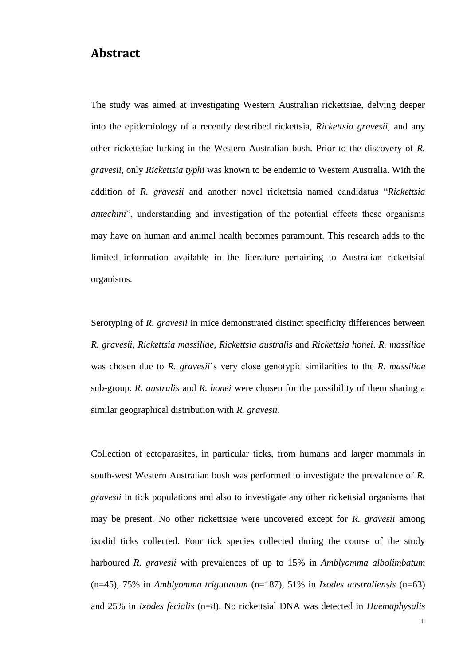#### <span id="page-2-0"></span>**Abstract**

The study was aimed at investigating Western Australian rickettsiae, delving deeper into the epidemiology of a recently described rickettsia, *Rickettsia gravesii*, and any other rickettsiae lurking in the Western Australian bush. Prior to the discovery of *R. gravesii*, only *Rickettsia typhi* was known to be endemic to Western Australia. With the addition of *R. gravesii* and another novel rickettsia named candidatus "*Rickettsia antechini*", understanding and investigation of the potential effects these organisms may have on human and animal health becomes paramount. This research adds to the limited information available in the literature pertaining to Australian rickettsial organisms.

Serotyping of *R. gravesii* in mice demonstrated distinct specificity differences between *R. gravesii, Rickettsia massiliae*, *Rickettsia australis* and *Rickettsia honei*. *R. massiliae* was chosen due to *R. gravesii*'s very close genotypic similarities to the *R. massiliae* sub-group. *R. australis* and *R. honei* were chosen for the possibility of them sharing a similar geographical distribution with *R. gravesii*.

Collection of ectoparasites, in particular ticks, from humans and larger mammals in south-west Western Australian bush was performed to investigate the prevalence of *R. gravesii* in tick populations and also to investigate any other rickettsial organisms that may be present. No other rickettsiae were uncovered except for *R. gravesii* among ixodid ticks collected. Four tick species collected during the course of the study harboured *R. gravesii* with prevalences of up to 15% in *Amblyomma albolimbatum* (n=45), 75% in *Amblyomma triguttatum* (n=187), 51% in *Ixodes australiensis* (n=63) and 25% in *Ixodes fecialis* (n=8). No rickettsial DNA was detected in *Haemaphysalis*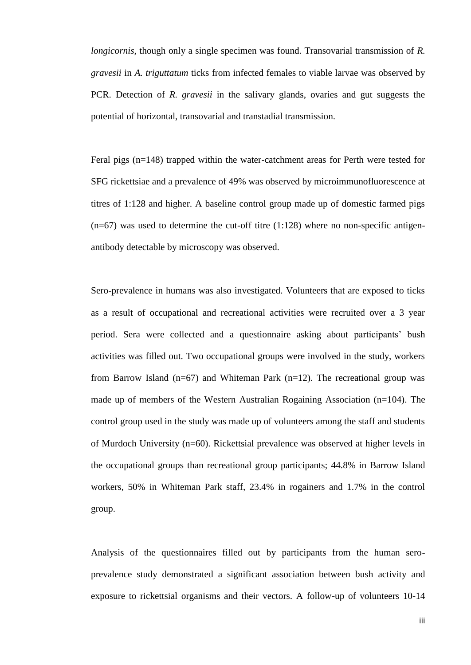*longicornis*, though only a single specimen was found. Transovarial transmission of *R. gravesii* in *A. triguttatum* ticks from infected females to viable larvae was observed by PCR. Detection of *R. gravesii* in the salivary glands, ovaries and gut suggests the potential of horizontal, transovarial and transtadial transmission.

Feral pigs (n=148) trapped within the water-catchment areas for Perth were tested for SFG rickettsiae and a prevalence of 49% was observed by microimmunofluorescence at titres of 1:128 and higher. A baseline control group made up of domestic farmed pigs  $(n=67)$  was used to determine the cut-off titre  $(1:128)$  where no non-specific antigenantibody detectable by microscopy was observed.

Sero-prevalence in humans was also investigated. Volunteers that are exposed to ticks as a result of occupational and recreational activities were recruited over a 3 year period. Sera were collected and a questionnaire asking about participants' bush activities was filled out. Two occupational groups were involved in the study, workers from Barrow Island  $(n=67)$  and Whiteman Park  $(n=12)$ . The recreational group was made up of members of the Western Australian Rogaining Association (n=104). The control group used in the study was made up of volunteers among the staff and students of Murdoch University (n=60). Rickettsial prevalence was observed at higher levels in the occupational groups than recreational group participants; 44.8% in Barrow Island workers, 50% in Whiteman Park staff, 23.4% in rogainers and 1.7% in the control group.

Analysis of the questionnaires filled out by participants from the human seroprevalence study demonstrated a significant association between bush activity and exposure to rickettsial organisms and their vectors. A follow-up of volunteers 10-14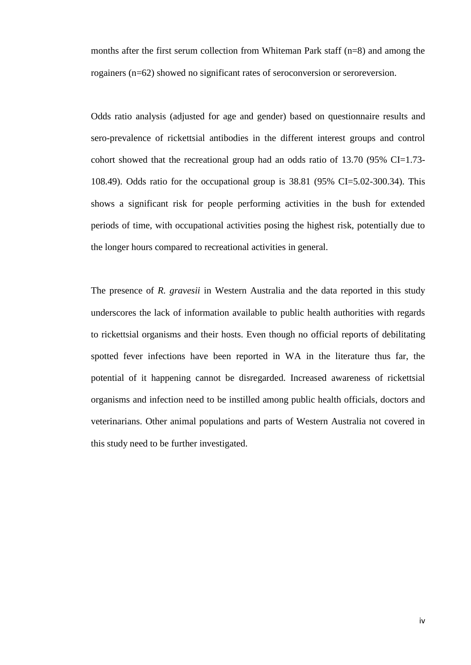months after the first serum collection from Whiteman Park staff (n=8) and among the rogainers (n=62) showed no significant rates of seroconversion or seroreversion.

Odds ratio analysis (adjusted for age and gender) based on questionnaire results and sero-prevalence of rickettsial antibodies in the different interest groups and control cohort showed that the recreational group had an odds ratio of 13.70 (95% CI=1.73- 108.49). Odds ratio for the occupational group is 38.81 (95% CI=5.02-300.34). This shows a significant risk for people performing activities in the bush for extended periods of time, with occupational activities posing the highest risk, potentially due to the longer hours compared to recreational activities in general.

The presence of *R. gravesii* in Western Australia and the data reported in this study underscores the lack of information available to public health authorities with regards to rickettsial organisms and their hosts. Even though no official reports of debilitating spotted fever infections have been reported in WA in the literature thus far, the potential of it happening cannot be disregarded. Increased awareness of rickettsial organisms and infection need to be instilled among public health officials, doctors and veterinarians. Other animal populations and parts of Western Australia not covered in this study need to be further investigated.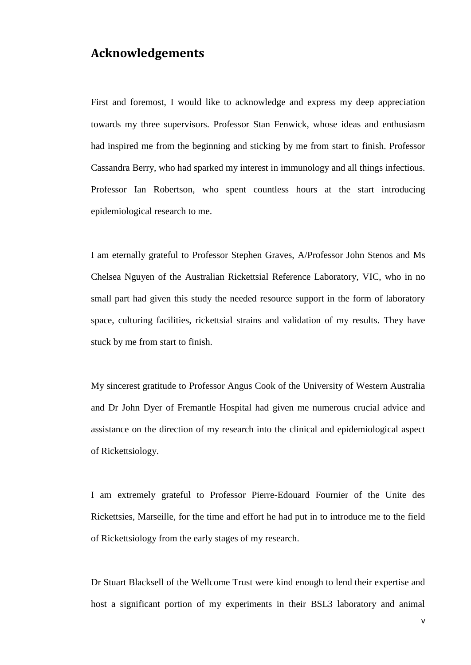#### <span id="page-5-0"></span>**Acknowledgements**

First and foremost, I would like to acknowledge and express my deep appreciation towards my three supervisors. Professor Stan Fenwick, whose ideas and enthusiasm had inspired me from the beginning and sticking by me from start to finish. Professor Cassandra Berry, who had sparked my interest in immunology and all things infectious. Professor Ian Robertson, who spent countless hours at the start introducing epidemiological research to me.

I am eternally grateful to Professor Stephen Graves, A/Professor John Stenos and Ms Chelsea Nguyen of the Australian Rickettsial Reference Laboratory, VIC, who in no small part had given this study the needed resource support in the form of laboratory space, culturing facilities, rickettsial strains and validation of my results. They have stuck by me from start to finish.

My sincerest gratitude to Professor Angus Cook of the University of Western Australia and Dr John Dyer of Fremantle Hospital had given me numerous crucial advice and assistance on the direction of my research into the clinical and epidemiological aspect of Rickettsiology.

I am extremely grateful to Professor Pierre-Edouard Fournier of the Unite des Rickettsies, Marseille, for the time and effort he had put in to introduce me to the field of Rickettsiology from the early stages of my research.

Dr Stuart Blacksell of the Wellcome Trust were kind enough to lend their expertise and host a significant portion of my experiments in their BSL3 laboratory and animal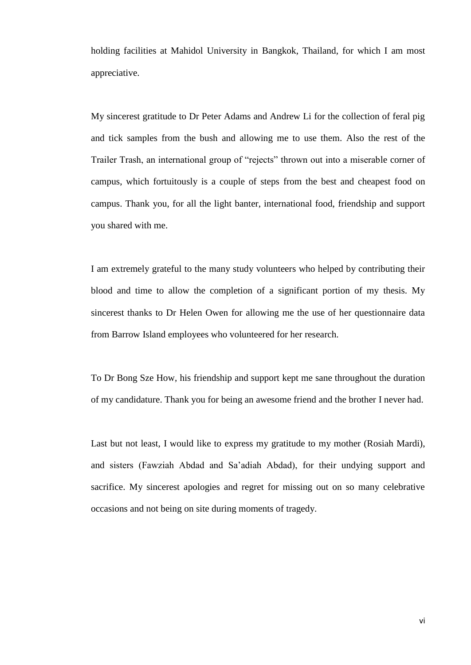holding facilities at Mahidol University in Bangkok, Thailand, for which I am most appreciative.

My sincerest gratitude to Dr Peter Adams and Andrew Li for the collection of feral pig and tick samples from the bush and allowing me to use them. Also the rest of the Trailer Trash, an international group of "rejects" thrown out into a miserable corner of campus, which fortuitously is a couple of steps from the best and cheapest food on campus. Thank you, for all the light banter, international food, friendship and support you shared with me.

I am extremely grateful to the many study volunteers who helped by contributing their blood and time to allow the completion of a significant portion of my thesis. My sincerest thanks to Dr Helen Owen for allowing me the use of her questionnaire data from Barrow Island employees who volunteered for her research.

To Dr Bong Sze How, his friendship and support kept me sane throughout the duration of my candidature. Thank you for being an awesome friend and the brother I never had.

Last but not least, I would like to express my gratitude to my mother (Rosiah Mardi), and sisters (Fawziah Abdad and Sa'adiah Abdad), for their undying support and sacrifice. My sincerest apologies and regret for missing out on so many celebrative occasions and not being on site during moments of tragedy.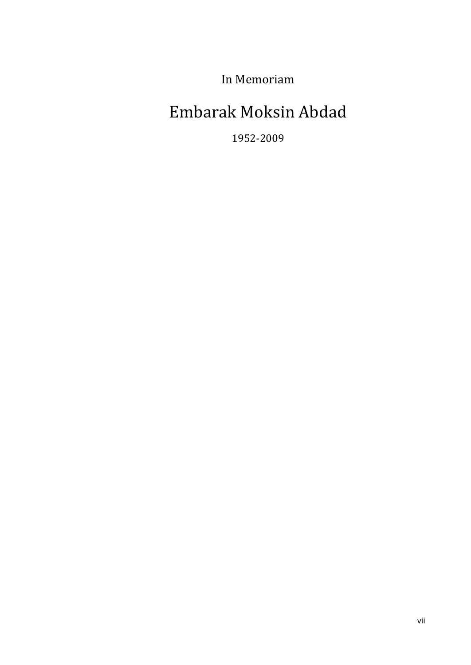In Memoriam

## Embarak Moksin Abdad

1952-2009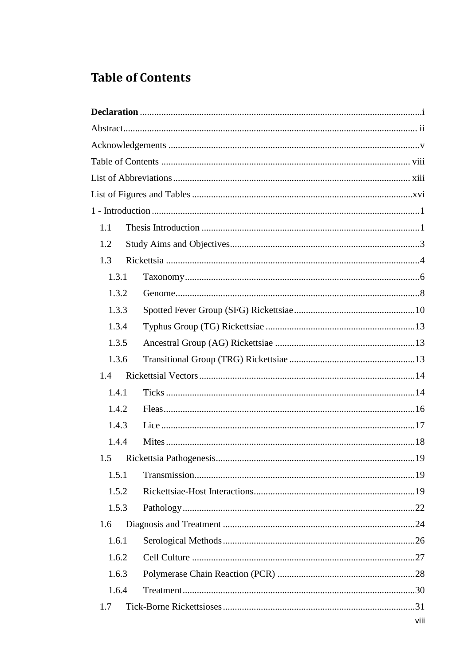### <span id="page-8-0"></span>**Table of Contents**

| 1.1   |                             |      |
|-------|-----------------------------|------|
| 1.2   |                             |      |
| 1.3   |                             |      |
| 1.3.1 |                             |      |
| 1.3.2 |                             |      |
| 1.3.3 |                             |      |
| 1.3.4 |                             |      |
| 1.3.5 |                             |      |
| 1.3.6 |                             |      |
| 1.4   |                             |      |
| 1.4.1 |                             |      |
| 1.4.2 |                             |      |
| 1.4.3 |                             |      |
| 1.4.4 |                             |      |
|       | 1.5 Rickettsia Pathogenesis | 19   |
| 1.5.1 |                             |      |
| 1.5.2 |                             |      |
| 1.5.3 |                             |      |
| 1.6   |                             |      |
| 1.6.1 |                             |      |
| 1.6.2 |                             |      |
| 1.6.3 |                             |      |
| 1.6.4 |                             |      |
| 1.7   |                             |      |
|       |                             | viii |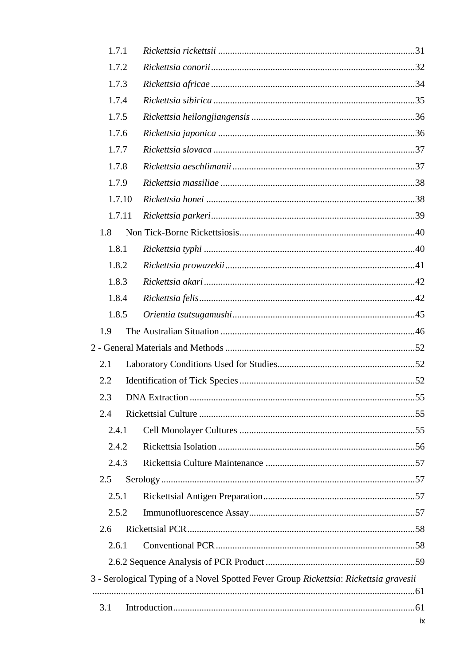| 1.7.1 |        |                                                                                       |    |
|-------|--------|---------------------------------------------------------------------------------------|----|
| 1.7.2 |        |                                                                                       |    |
| 1.7.3 |        |                                                                                       |    |
| 1.7.4 |        |                                                                                       |    |
| 1.7.5 |        |                                                                                       |    |
| 1.7.6 |        |                                                                                       |    |
| 1.7.7 |        |                                                                                       |    |
| 1.7.8 |        |                                                                                       |    |
| 1.7.9 |        |                                                                                       |    |
|       | 1.7.10 |                                                                                       |    |
|       | 1.7.11 |                                                                                       |    |
| 1.8   |        |                                                                                       |    |
| 1.8.1 |        |                                                                                       |    |
| 1.8.2 |        |                                                                                       |    |
| 1.8.3 |        |                                                                                       |    |
| 1.8.4 |        |                                                                                       |    |
| 1.8.5 |        |                                                                                       |    |
| 1.9   |        |                                                                                       |    |
|       |        |                                                                                       |    |
| 2.1   |        |                                                                                       |    |
| 2.2   |        |                                                                                       |    |
| 2.3   |        |                                                                                       |    |
| 2.4   |        |                                                                                       |    |
| 2.4.1 |        |                                                                                       |    |
| 2.4.2 |        |                                                                                       |    |
| 2.4.3 |        |                                                                                       |    |
| 2.5   |        |                                                                                       |    |
| 2.5.1 |        |                                                                                       |    |
| 2.5.2 |        |                                                                                       |    |
| 2.6   |        |                                                                                       |    |
| 2.6.1 |        |                                                                                       |    |
|       |        |                                                                                       |    |
|       |        | 3 - Serological Typing of a Novel Spotted Fever Group Rickettsia: Rickettsia gravesii |    |
|       |        |                                                                                       |    |
| 3.1   |        |                                                                                       |    |
|       |        |                                                                                       | iх |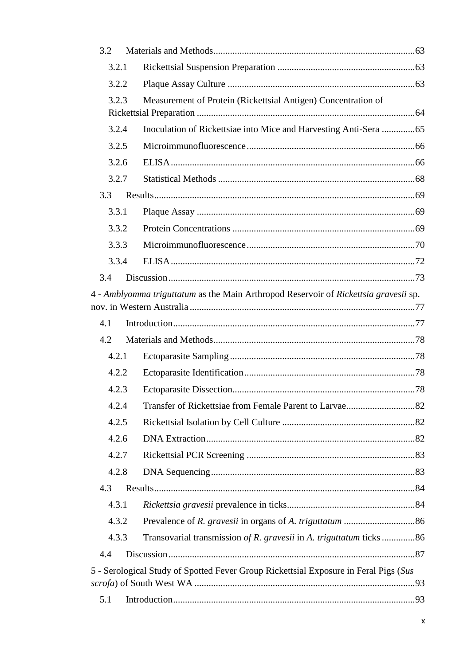| 3.2   |                                                                                      |
|-------|--------------------------------------------------------------------------------------|
| 3.2.1 |                                                                                      |
| 3.2.2 |                                                                                      |
| 3.2.3 | Measurement of Protein (Rickettsial Antigen) Concentration of                        |
|       |                                                                                      |
| 3.2.4 |                                                                                      |
| 3.2.5 |                                                                                      |
| 3.2.6 |                                                                                      |
| 3.2.7 |                                                                                      |
| 3.3   |                                                                                      |
| 3.3.1 |                                                                                      |
| 3.3.2 |                                                                                      |
| 3.3.3 |                                                                                      |
| 3.3.4 |                                                                                      |
| 3.4   |                                                                                      |
|       | 4 - Amblyomma triguttatum as the Main Arthropod Reservoir of Rickettsia gravesii sp. |
|       |                                                                                      |
| 4.1   |                                                                                      |
| 4.2   |                                                                                      |
| 4.2.1 |                                                                                      |
| 4.2.2 |                                                                                      |
| 4.2.3 |                                                                                      |
| 4.2.4 |                                                                                      |
| 4.2.5 |                                                                                      |
| 4.2.6 |                                                                                      |
| 4.2.7 |                                                                                      |
| 4.2.8 |                                                                                      |
| 4.3   |                                                                                      |
| 4.3.1 |                                                                                      |
| 4.3.2 |                                                                                      |
| 4.3.3 | Transovarial transmission of R. gravesii in A. triguttatum ticks 86                  |
| 4.4   |                                                                                      |
|       | 5 - Serological Study of Spotted Fever Group Rickettsial Exposure in Feral Pigs (Sus |
|       |                                                                                      |
| 5.1   |                                                                                      |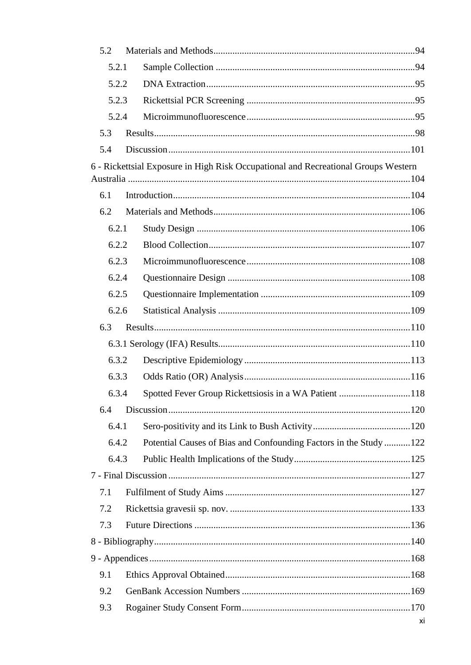| 5.2   |                                                                                    |    |
|-------|------------------------------------------------------------------------------------|----|
| 5.2.1 |                                                                                    |    |
| 5.2.2 |                                                                                    |    |
| 5.2.3 |                                                                                    |    |
| 5.2.4 |                                                                                    |    |
| 5.3   |                                                                                    |    |
| 5.4   |                                                                                    |    |
|       | 6 - Rickettsial Exposure in High Risk Occupational and Recreational Groups Western |    |
|       |                                                                                    |    |
| 6.1   |                                                                                    |    |
| 6.2   |                                                                                    |    |
| 6.2.1 |                                                                                    |    |
| 6.2.2 |                                                                                    |    |
| 6.2.3 |                                                                                    |    |
| 6.2.4 |                                                                                    |    |
| 6.2.5 |                                                                                    |    |
| 6.2.6 |                                                                                    |    |
| 6.3   |                                                                                    |    |
|       |                                                                                    |    |
| 6.3.2 |                                                                                    |    |
| 6.3.3 |                                                                                    |    |
| 6.3.4 | Spotted Fever Group Rickettsiosis in a WA Patient 118                              |    |
| 6.4   |                                                                                    |    |
| 6.4.1 |                                                                                    |    |
| 6.4.2 | Potential Causes of Bias and Confounding Factors in the Study122                   |    |
| 6.4.3 |                                                                                    |    |
|       |                                                                                    |    |
| 7.1   |                                                                                    |    |
| 7.2   |                                                                                    |    |
| 7.3   |                                                                                    |    |
|       |                                                                                    |    |
|       |                                                                                    |    |
| 9.1   |                                                                                    |    |
| 9.2   |                                                                                    |    |
| 9.3   |                                                                                    |    |
|       |                                                                                    | хi |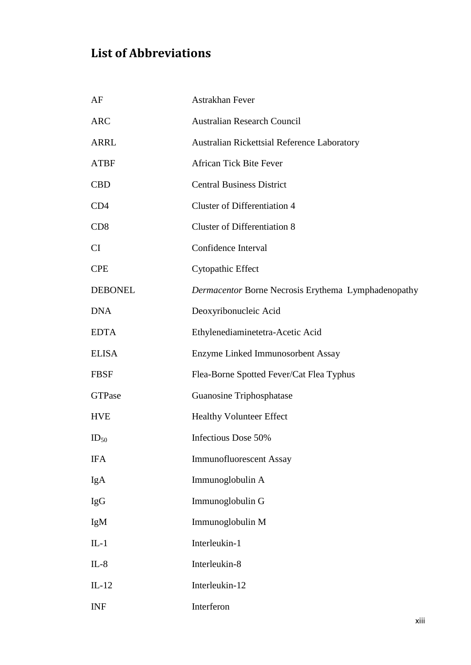#### <span id="page-13-0"></span>**List of Abbreviations**

| AF              | Astrakhan Fever                                     |
|-----------------|-----------------------------------------------------|
| <b>ARC</b>      | <b>Australian Research Council</b>                  |
| <b>ARRL</b>     | <b>Australian Rickettsial Reference Laboratory</b>  |
| <b>ATBF</b>     | <b>African Tick Bite Fever</b>                      |
| <b>CBD</b>      | <b>Central Business District</b>                    |
| CD4             | <b>Cluster of Differentiation 4</b>                 |
| CD <sub>8</sub> | <b>Cluster of Differentiation 8</b>                 |
| CI              | Confidence Interval                                 |
| <b>CPE</b>      | Cytopathic Effect                                   |
| <b>DEBONEL</b>  | Dermacentor Borne Necrosis Erythema Lymphadenopathy |
| <b>DNA</b>      | Deoxyribonucleic Acid                               |
| <b>EDTA</b>     | Ethylenediaminetetra-Acetic Acid                    |
| <b>ELISA</b>    | Enzyme Linked Immunosorbent Assay                   |
| <b>FBSF</b>     | Flea-Borne Spotted Fever/Cat Flea Typhus            |
| <b>GTPase</b>   | Guanosine Triphosphatase                            |
| <b>HVE</b>      | <b>Healthy Volunteer Effect</b>                     |
| $ID_{50}$       | Infectious Dose 50%                                 |
| <b>IFA</b>      | <b>Immunofluorescent Assay</b>                      |
| IgA             | Immunoglobulin A                                    |
| <b>IgG</b>      | Immunoglobulin G                                    |
| IgM             | Immunoglobulin M                                    |
| $IL-1$          | Interleukin-1                                       |
| $IL-8$          | Interleukin-8                                       |
| $IL-12$         | Interleukin-12                                      |
| <b>INF</b>      | Interferon                                          |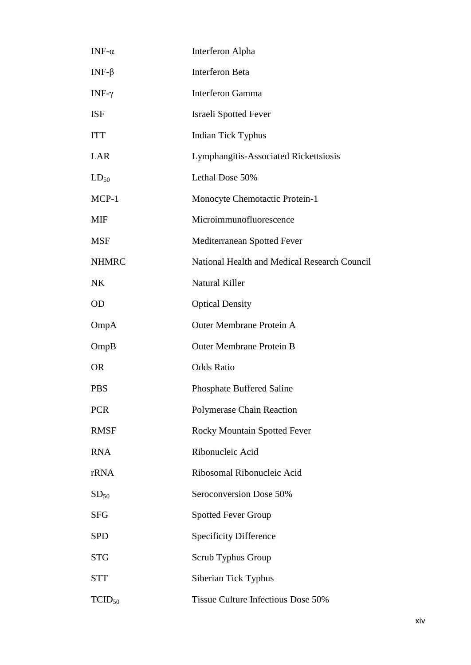| INF- $\alpha$    | Interferon Alpha                             |
|------------------|----------------------------------------------|
| INF- $\beta$     | <b>Interferon Beta</b>                       |
| INF-γ            | <b>Interferon Gamma</b>                      |
| <b>ISF</b>       | <b>Israeli Spotted Fever</b>                 |
| <b>ITT</b>       | <b>Indian Tick Typhus</b>                    |
| LAR              | Lymphangitis-Associated Rickettsiosis        |
| $LD_{50}$        | Lethal Dose 50%                              |
| MCP-1            | Monocyte Chemotactic Protein-1               |
| MIF              | Microimmunofluorescence                      |
| <b>MSF</b>       | Mediterranean Spotted Fever                  |
| <b>NHMRC</b>     | National Health and Medical Research Council |
| <b>NK</b>        | Natural Killer                               |
| OD               | <b>Optical Density</b>                       |
| OmpA             | <b>Outer Membrane Protein A</b>              |
| OmpB             | <b>Outer Membrane Protein B</b>              |
| <b>OR</b>        | <b>Odds Ratio</b>                            |
| <b>PBS</b>       | <b>Phosphate Buffered Saline</b>             |
| <b>PCR</b>       | <b>Polymerase Chain Reaction</b>             |
| <b>RMSF</b>      | <b>Rocky Mountain Spotted Fever</b>          |
| <b>RNA</b>       | Ribonucleic Acid                             |
| rRNA             | Ribosomal Ribonucleic Acid                   |
| SD <sub>50</sub> | Seroconversion Dose 50%                      |
| <b>SFG</b>       | <b>Spotted Fever Group</b>                   |
| <b>SPD</b>       | <b>Specificity Difference</b>                |
| <b>STG</b>       | Scrub Typhus Group                           |
| <b>STT</b>       | Siberian Tick Typhus                         |
| $TCID_{50}$      | Tissue Culture Infectious Dose 50%           |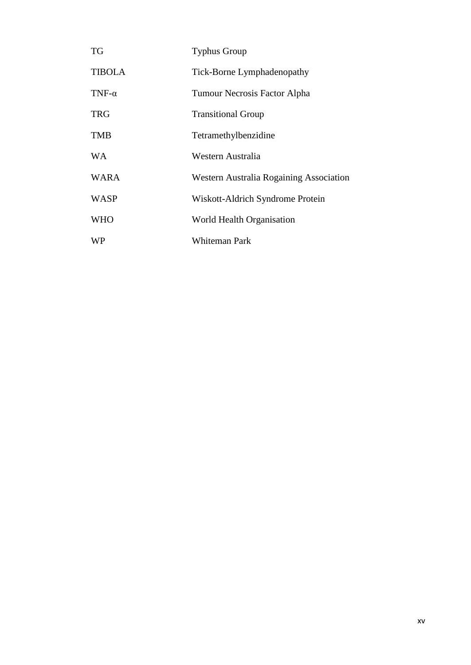| <b>TG</b>     | <b>Typhus Group</b>                     |
|---------------|-----------------------------------------|
| <b>TIBOLA</b> | Tick-Borne Lymphadenopathy              |
| TNF- $\alpha$ | Tumour Necrosis Factor Alpha            |
| <b>TRG</b>    | <b>Transitional Group</b>               |
| <b>TMB</b>    | Tetramethylbenzidine                    |
| WA            | Western Australia                       |
| <b>WARA</b>   | Western Australia Rogaining Association |
| <b>WASP</b>   | Wiskott-Aldrich Syndrome Protein        |
| <b>WHO</b>    | World Health Organisation               |
| <b>WP</b>     | Whiteman Park                           |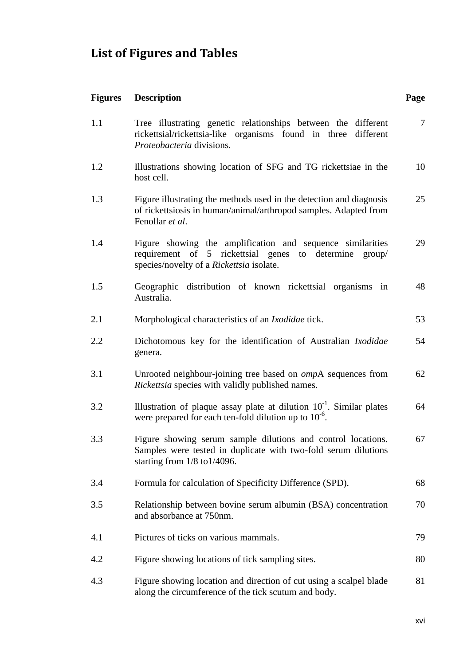## <span id="page-16-0"></span>**List of Figures and Tables**

| <b>Figures</b> | <b>Description</b>                                                                                                                                                        | Page   |
|----------------|---------------------------------------------------------------------------------------------------------------------------------------------------------------------------|--------|
| 1.1            | Tree illustrating genetic relationships between the different<br>rickettsial/rickettsia-like organisms found in three different<br>Proteobacteria divisions.              | $\tau$ |
| 1.2            | Illustrations showing location of SFG and TG rickettsiae in the<br>host cell.                                                                                             | 10     |
| 1.3            | Figure illustrating the methods used in the detection and diagnosis<br>of rickettsiosis in human/animal/arthropod samples. Adapted from<br>Fenollar et al.                | 25     |
| 1.4            | Figure showing the amplification and sequence similarities<br>5 rickettsial genes<br>requirement of<br>to determine<br>group/<br>species/novelty of a Rickettsia isolate. | 29     |
| 1.5            | Geographic distribution of known rickettsial organisms in<br>Australia.                                                                                                   | 48     |
| 2.1            | Morphological characteristics of an <i>Ixodidae</i> tick.                                                                                                                 | 53     |
| 2.2            | Dichotomous key for the identification of Australian Ixodidae<br>genera.                                                                                                  | 54     |
| 3.1            | Unrooted neighbour-joining tree based on <i>ompA</i> sequences from<br>Rickettsia species with validly published names.                                                   | 62     |
| 3.2            | Illustration of plaque assay plate at dilution $10^{-1}$ . Similar plates<br>were prepared for each ten-fold dilution up to $10^{-6}$ .                                   | 64     |
| 3.3            | Figure showing serum sample dilutions and control locations.<br>Samples were tested in duplicate with two-fold serum dilutions<br>starting from $1/8$ to $1/4096$ .       | 67     |
| 3.4            | Formula for calculation of Specificity Difference (SPD).                                                                                                                  | 68     |
| 3.5            | Relationship between bovine serum albumin (BSA) concentration<br>and absorbance at 750nm.                                                                                 | 70     |
| 4.1            | Pictures of ticks on various mammals.                                                                                                                                     | 79     |
| 4.2            | Figure showing locations of tick sampling sites.                                                                                                                          | 80     |
| 4.3            | Figure showing location and direction of cut using a scalpel blade<br>along the circumference of the tick scutum and body.                                                | 81     |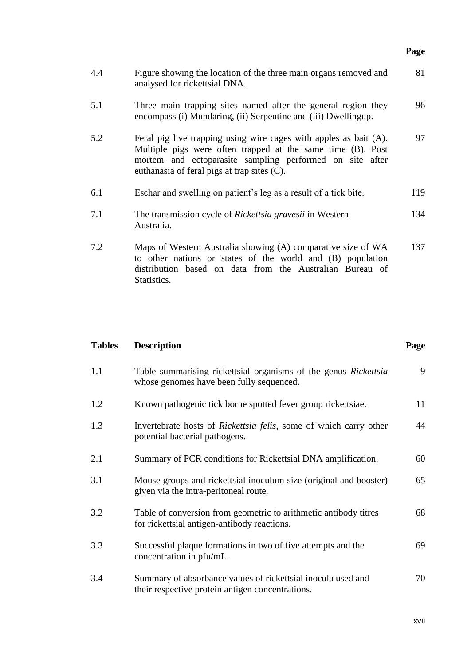|     |                                                                                                                                                                                                                                             | Page |
|-----|---------------------------------------------------------------------------------------------------------------------------------------------------------------------------------------------------------------------------------------------|------|
| 4.4 | Figure showing the location of the three main organs removed and<br>analysed for rickettsial DNA.                                                                                                                                           | 81   |
| 5.1 | Three main trapping sites named after the general region they<br>encompass (i) Mundaring, (ii) Serpentine and (iii) Dwellingup.                                                                                                             | 96   |
| 5.2 | Feral pig live trapping using wire cages with apples as bait (A).<br>Multiple pigs were often trapped at the same time (B). Post<br>mortem and ectoparasite sampling performed on site after<br>euthanasia of feral pigs at trap sites (C). | 97   |
| 6.1 | Eschar and swelling on patient's leg as a result of a tick bite.                                                                                                                                                                            | 119  |
| 7.1 | The transmission cycle of <i>Rickettsia gravesii</i> in Western<br>Australia.                                                                                                                                                               | 134  |
| 7.2 | Maps of Western Australia showing (A) comparative size of WA<br>to other nations or states of the world and (B) population<br>distribution based on data from the Australian Bureau of<br>Statistics.                                       | 137  |

#### **Tables Description Page**

| 1.1 | Table summarising rickettsial organisms of the genus Rickettsia<br>whose genomes have been fully sequenced.      | 9  |
|-----|------------------------------------------------------------------------------------------------------------------|----|
| 1.2 | Known pathogenic tick borne spotted fever group rickettsiae.                                                     | 11 |
| 1.3 | Invertebrate hosts of <i>Rickettsia felis</i> , some of which carry other<br>potential bacterial pathogens.      | 44 |
| 2.1 | Summary of PCR conditions for Rickettsial DNA amplification.                                                     | 60 |
| 3.1 | Mouse groups and rickettsial inoculum size (original and booster)<br>given via the intra-peritoneal route.       | 65 |
| 3.2 | Table of conversion from geometric to arithmetic antibody titres<br>for rickettsial antigen-antibody reactions.  | 68 |
| 3.3 | Successful plaque formations in two of five attempts and the<br>concentration in pfu/mL.                         | 69 |
| 3.4 | Summary of absorbance values of rickettsial inocula used and<br>their respective protein antigen concentrations. | 70 |